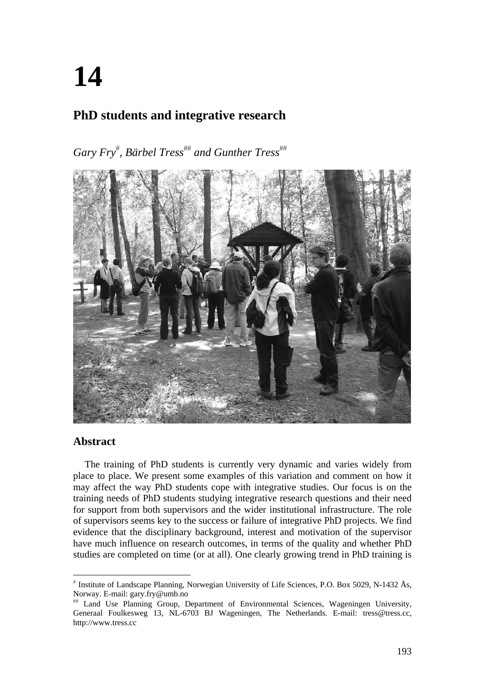# **14**

## **PhD students and integrative research**

 $Gary Fry<sup>#</sup>, Bärbel Tress<sup>##</sup> and Gunther Tress<sup>##</sup>$ 



## **Abstract**

 $\overline{a}$ 

The training of PhD students is currently very dynamic and varies widely from place to place. We present some examples of this variation and comment on how it may affect the way PhD students cope with integrative studies. Our focus is on the training needs of PhD students studying integrative research questions and their need for support from both supervisors and the wider institutional infrastructure. The role of supervisors seems key to the success or failure of integrative PhD projects. We find evidence that the disciplinary background, interest and motivation of the supervisor have much influence on research outcomes, in terms of the quality and whether PhD studies are completed on time (or at all). One clearly growing trend in PhD training is

 $*$  Institute of Landscape Planning, Norwegian University of Life Sciences, P.O. Box 5029, N-1432 Ås, Norway. E-mail: gary.fry@umb.no

Land Use Planning Group, Department of Environmental Sciences, Wageningen University, Generaal Foulkesweg 13, NL-6703 BJ Wageningen, The Netherlands. E-mail: tress@tress.cc, http://www.tress.cc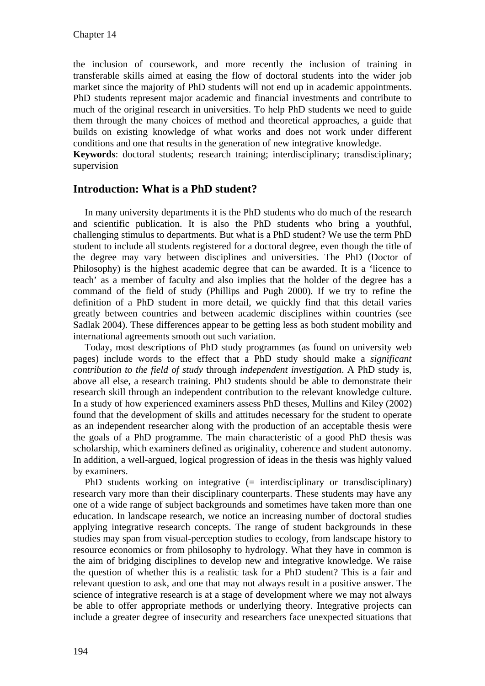the inclusion of coursework, and more recently the inclusion of training in transferable skills aimed at easing the flow of doctoral students into the wider job market since the majority of PhD students will not end up in academic appointments. PhD students represent major academic and financial investments and contribute to much of the original research in universities. To help PhD students we need to guide them through the many choices of method and theoretical approaches, a guide that builds on existing knowledge of what works and does not work under different conditions and one that results in the generation of new integrative knowledge.

**Keywords**: doctoral students; research training; interdisciplinary; transdisciplinary; supervision

## **Introduction: What is a PhD student?**

In many university departments it is the PhD students who do much of the research and scientific publication. It is also the PhD students who bring a youthful, challenging stimulus to departments. But what is a PhD student? We use the term PhD student to include all students registered for a doctoral degree, even though the title of the degree may vary between disciplines and universities. The PhD (Doctor of Philosophy) is the highest academic degree that can be awarded. It is a 'licence to teach' as a member of faculty and also implies that the holder of the degree has a command of the field of study (Phillips and Pugh 2000). If we try to refine the definition of a PhD student in more detail, we quickly find that this detail varies greatly between countries and between academic disciplines within countries (see Sadlak 2004). These differences appear to be getting less as both student mobility and international agreements smooth out such variation.

Today, most descriptions of PhD study programmes (as found on university web pages) include words to the effect that a PhD study should make a *significant contribution to the field of study* through *independent investigation*. A PhD study is, above all else, a research training. PhD students should be able to demonstrate their research skill through an independent contribution to the relevant knowledge culture. In a study of how experienced examiners assess PhD theses, Mullins and Kiley (2002) found that the development of skills and attitudes necessary for the student to operate as an independent researcher along with the production of an acceptable thesis were the goals of a PhD programme. The main characteristic of a good PhD thesis was scholarship, which examiners defined as originality, coherence and student autonomy. In addition, a well-argued, logical progression of ideas in the thesis was highly valued by examiners.

PhD students working on integrative (= interdisciplinary or transdisciplinary) research vary more than their disciplinary counterparts. These students may have any one of a wide range of subject backgrounds and sometimes have taken more than one education. In landscape research, we notice an increasing number of doctoral studies applying integrative research concepts. The range of student backgrounds in these studies may span from visual-perception studies to ecology, from landscape history to resource economics or from philosophy to hydrology. What they have in common is the aim of bridging disciplines to develop new and integrative knowledge. We raise the question of whether this is a realistic task for a PhD student? This is a fair and relevant question to ask, and one that may not always result in a positive answer. The science of integrative research is at a stage of development where we may not always be able to offer appropriate methods or underlying theory. Integrative projects can include a greater degree of insecurity and researchers face unexpected situations that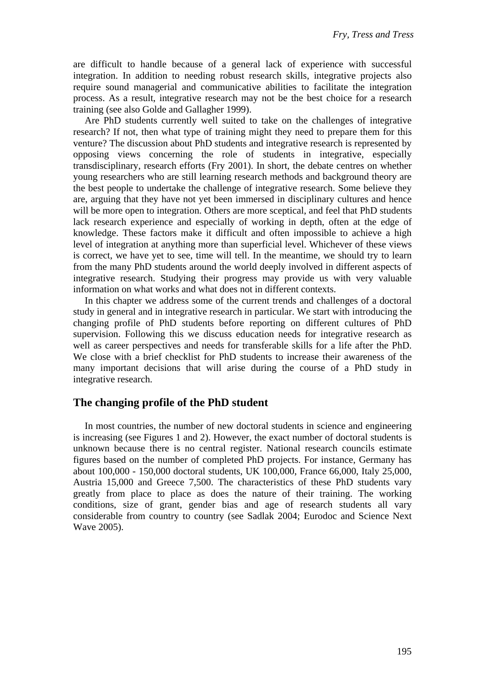are difficult to handle because of a general lack of experience with successful integration. In addition to needing robust research skills, integrative projects also require sound managerial and communicative abilities to facilitate the integration process. As a result, integrative research may not be the best choice for a research training (see also Golde and Gallagher 1999).

Are PhD students currently well suited to take on the challenges of integrative research? If not, then what type of training might they need to prepare them for this venture? The discussion about PhD students and integrative research is represented by opposing views concerning the role of students in integrative, especially transdisciplinary, research efforts (Fry 2001). In short, the debate centres on whether young researchers who are still learning research methods and background theory are the best people to undertake the challenge of integrative research. Some believe they are, arguing that they have not yet been immersed in disciplinary cultures and hence will be more open to integration. Others are more sceptical, and feel that PhD students lack research experience and especially of working in depth, often at the edge of knowledge. These factors make it difficult and often impossible to achieve a high level of integration at anything more than superficial level. Whichever of these views is correct, we have yet to see, time will tell. In the meantime, we should try to learn from the many PhD students around the world deeply involved in different aspects of integrative research. Studying their progress may provide us with very valuable information on what works and what does not in different contexts.

In this chapter we address some of the current trends and challenges of a doctoral study in general and in integrative research in particular. We start with introducing the changing profile of PhD students before reporting on different cultures of PhD supervision. Following this we discuss education needs for integrative research as well as career perspectives and needs for transferable skills for a life after the PhD. We close with a brief checklist for PhD students to increase their awareness of the many important decisions that will arise during the course of a PhD study in integrative research.

## **The changing profile of the PhD student**

In most countries, the number of new doctoral students in science and engineering is increasing (see Figures 1 and 2). However, the exact number of doctoral students is unknown because there is no central register. National research councils estimate figures based on the number of completed PhD projects. For instance, Germany has about 100,000 - 150,000 doctoral students, UK 100,000, France 66,000, Italy 25,000, Austria 15,000 and Greece 7,500. The characteristics of these PhD students vary greatly from place to place as does the nature of their training. The working conditions, size of grant, gender bias and age of research students all vary considerable from country to country (see Sadlak 2004; Eurodoc and Science Next Wave 2005).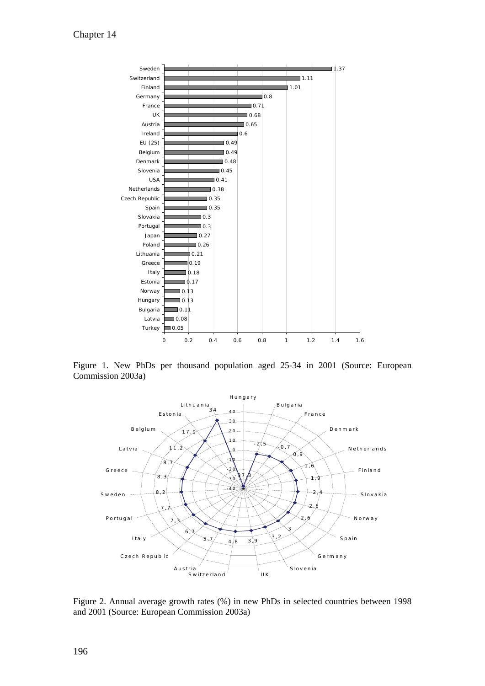

Figure 1. New PhDs per thousand population aged 25-34 in 2001 (Source: European Commission 2003a)



Figure 2. Annual average growth rates (%) in new PhDs in selected countries between 1998 and 2001 (Source: European Commission 2003a)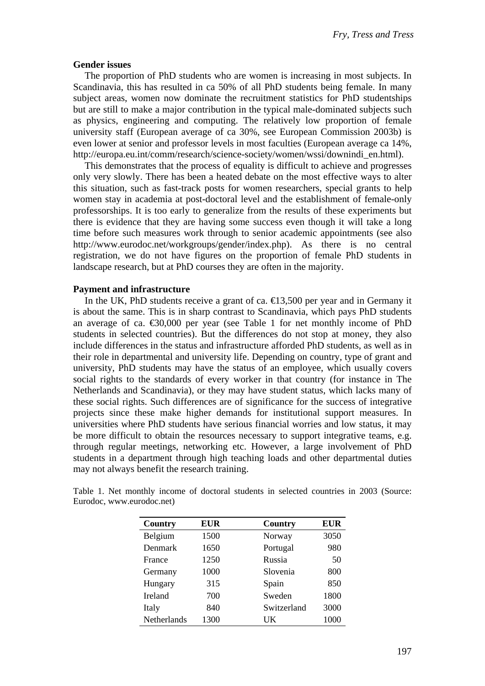#### **Gender issues**

The proportion of PhD students who are women is increasing in most subjects. In Scandinavia, this has resulted in ca 50% of all PhD students being female. In many subject areas, women now dominate the recruitment statistics for PhD studentships but are still to make a major contribution in the typical male-dominated subjects such as physics, engineering and computing. The relatively low proportion of female university staff (European average of ca 30%, see European Commission 2003b) is even lower at senior and professor levels in most faculties (European average ca 14%, http://europa.eu.int/comm/research/science-society/women/wssi/downindi\_en.html).

This demonstrates that the process of equality is difficult to achieve and progresses only very slowly. There has been a heated debate on the most effective ways to alter this situation, such as fast-track posts for women researchers, special grants to help women stay in academia at post-doctoral level and the establishment of female-only professorships. It is too early to generalize from the results of these experiments but there is evidence that they are having some success even though it will take a long time before such measures work through to senior academic appointments (see also http://www.eurodoc.net/workgroups/gender/index.php). As there is no central registration, we do not have figures on the proportion of female PhD students in landscape research, but at PhD courses they are often in the majority.

#### **Payment and infrastructure**

In the UK, PhD students receive a grant of ca.  $\in$ 13,500 per year and in Germany it is about the same. This is in sharp contrast to Scandinavia, which pays PhD students an average of ca.  $\epsilon$ 30,000 per year (see Table 1 for net monthly income of PhD students in selected countries). But the differences do not stop at money, they also include differences in the status and infrastructure afforded PhD students, as well as in their role in departmental and university life. Depending on country, type of grant and university, PhD students may have the status of an employee, which usually covers social rights to the standards of every worker in that country (for instance in The Netherlands and Scandinavia), or they may have student status, which lacks many of these social rights. Such differences are of significance for the success of integrative projects since these make higher demands for institutional support measures. In universities where PhD students have serious financial worries and low status, it may be more difficult to obtain the resources necessary to support integrative teams, e.g. through regular meetings, networking etc. However, a large involvement of PhD students in a department through high teaching loads and other departmental duties may not always benefit the research training.

| Country        | EUR  | Country     | <b>EUR</b> |
|----------------|------|-------------|------------|
| Belgium        | 1500 | Norway      | 3050       |
| Denmark        | 1650 | Portugal    | 980        |
| France         | 1250 | Russia      | 50         |
| Germany        | 1000 | Slovenia    | 800        |
| Hungary        | 315  | Spain       | 850        |
| <b>Ireland</b> | 700  | Sweden      | 1800       |
| Italy          | 840  | Switzerland | 3000       |
| Netherlands    | 1300 | UK          | 1000       |

Table 1. Net monthly income of doctoral students in selected countries in 2003 (Source: Eurodoc, www.eurodoc.net)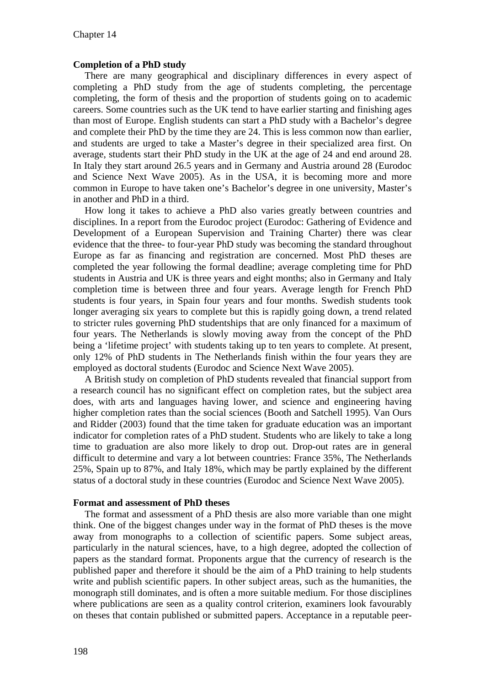#### **Completion of a PhD study**

There are many geographical and disciplinary differences in every aspect of completing a PhD study from the age of students completing, the percentage completing, the form of thesis and the proportion of students going on to academic careers. Some countries such as the UK tend to have earlier starting and finishing ages than most of Europe. English students can start a PhD study with a Bachelor's degree and complete their PhD by the time they are 24. This is less common now than earlier, and students are urged to take a Master's degree in their specialized area first. On average, students start their PhD study in the UK at the age of 24 and end around 28. In Italy they start around 26.5 years and in Germany and Austria around 28 (Eurodoc and Science Next Wave 2005). As in the USA, it is becoming more and more common in Europe to have taken one's Bachelor's degree in one university, Master's in another and PhD in a third.

How long it takes to achieve a PhD also varies greatly between countries and disciplines. In a report from the Eurodoc project (Eurodoc: Gathering of Evidence and Development of a European Supervision and Training Charter) there was clear evidence that the three- to four-year PhD study was becoming the standard throughout Europe as far as financing and registration are concerned. Most PhD theses are completed the year following the formal deadline; average completing time for PhD students in Austria and UK is three years and eight months; also in Germany and Italy completion time is between three and four years. Average length for French PhD students is four years, in Spain four years and four months. Swedish students took longer averaging six years to complete but this is rapidly going down, a trend related to stricter rules governing PhD studentships that are only financed for a maximum of four years. The Netherlands is slowly moving away from the concept of the PhD being a 'lifetime project' with students taking up to ten years to complete. At present, only 12% of PhD students in The Netherlands finish within the four years they are employed as doctoral students (Eurodoc and Science Next Wave 2005).

A British study on completion of PhD students revealed that financial support from a research council has no significant effect on completion rates, but the subject area does, with arts and languages having lower, and science and engineering having higher completion rates than the social sciences (Booth and Satchell 1995). Van Ours and Ridder (2003) found that the time taken for graduate education was an important indicator for completion rates of a PhD student. Students who are likely to take a long time to graduation are also more likely to drop out. Drop-out rates are in general difficult to determine and vary a lot between countries: France 35%, The Netherlands 25%, Spain up to 87%, and Italy 18%, which may be partly explained by the different status of a doctoral study in these countries (Eurodoc and Science Next Wave 2005).

#### **Format and assessment of PhD theses**

The format and assessment of a PhD thesis are also more variable than one might think. One of the biggest changes under way in the format of PhD theses is the move away from monographs to a collection of scientific papers. Some subject areas, particularly in the natural sciences, have, to a high degree, adopted the collection of papers as the standard format. Proponents argue that the currency of research is the published paper and therefore it should be the aim of a PhD training to help students write and publish scientific papers. In other subject areas, such as the humanities, the monograph still dominates, and is often a more suitable medium. For those disciplines where publications are seen as a quality control criterion, examiners look favourably on theses that contain published or submitted papers. Acceptance in a reputable peer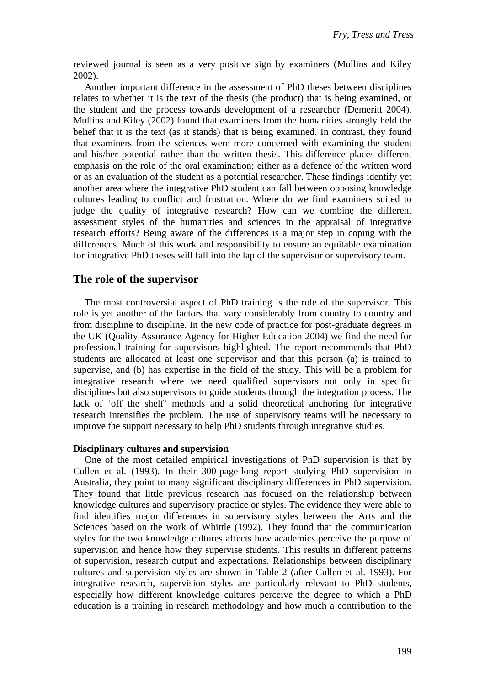reviewed journal is seen as a very positive sign by examiners (Mullins and Kiley 2002).

Another important difference in the assessment of PhD theses between disciplines relates to whether it is the text of the thesis (the product) that is being examined, or the student and the process towards development of a researcher (Demeritt 2004). Mullins and Kiley (2002) found that examiners from the humanities strongly held the belief that it is the text (as it stands) that is being examined. In contrast, they found that examiners from the sciences were more concerned with examining the student and his/her potential rather than the written thesis. This difference places different emphasis on the role of the oral examination; either as a defence of the written word or as an evaluation of the student as a potential researcher. These findings identify yet another area where the integrative PhD student can fall between opposing knowledge cultures leading to conflict and frustration. Where do we find examiners suited to judge the quality of integrative research? How can we combine the different assessment styles of the humanities and sciences in the appraisal of integrative research efforts? Being aware of the differences is a major step in coping with the differences. Much of this work and responsibility to ensure an equitable examination for integrative PhD theses will fall into the lap of the supervisor or supervisory team.

#### **The role of the supervisor**

The most controversial aspect of PhD training is the role of the supervisor. This role is yet another of the factors that vary considerably from country to country and from discipline to discipline. In the new code of practice for post-graduate degrees in the UK (Quality Assurance Agency for Higher Education 2004) we find the need for professional training for supervisors highlighted. The report recommends that PhD students are allocated at least one supervisor and that this person (a) is trained to supervise, and (b) has expertise in the field of the study. This will be a problem for integrative research where we need qualified supervisors not only in specific disciplines but also supervisors to guide students through the integration process. The lack of 'off the shelf' methods and a solid theoretical anchoring for integrative research intensifies the problem. The use of supervisory teams will be necessary to improve the support necessary to help PhD students through integrative studies.

#### **Disciplinary cultures and supervision**

One of the most detailed empirical investigations of PhD supervision is that by Cullen et al. (1993). In their 300-page-long report studying PhD supervision in Australia, they point to many significant disciplinary differences in PhD supervision. They found that little previous research has focused on the relationship between knowledge cultures and supervisory practice or styles. The evidence they were able to find identifies major differences in supervisory styles between the Arts and the Sciences based on the work of Whittle (1992). They found that the communication styles for the two knowledge cultures affects how academics perceive the purpose of supervision and hence how they supervise students. This results in different patterns of supervision, research output and expectations. Relationships between disciplinary cultures and supervision styles are shown in Table 2 (after Cullen et al. 1993). For integrative research, supervision styles are particularly relevant to PhD students, especially how different knowledge cultures perceive the degree to which a PhD education is a training in research methodology and how much a contribution to the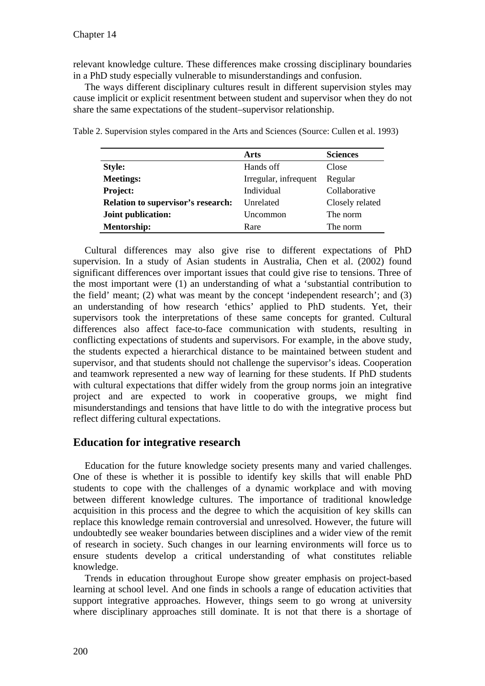relevant knowledge culture. These differences make crossing disciplinary boundaries in a PhD study especially vulnerable to misunderstandings and confusion.

The ways different disciplinary cultures result in different supervision styles may cause implicit or explicit resentment between student and supervisor when they do not share the same expectations of the student–supervisor relationship.

|                                           | Arts                  | <b>Sciences</b> |
|-------------------------------------------|-----------------------|-----------------|
| Style:                                    | Hands off             | Close           |
| <b>Meetings:</b>                          | Irregular, infrequent | Regular         |
| <b>Project:</b>                           | Individual            | Collaborative   |
| <b>Relation to supervisor's research:</b> | Unrelated             | Closely related |
| Joint publication:                        | Uncommon              | The norm        |
| <b>Mentorship:</b>                        | Rare                  | The norm        |

Table 2. Supervision styles compared in the Arts and Sciences (Source: Cullen et al. 1993)

Cultural differences may also give rise to different expectations of PhD supervision. In a study of Asian students in Australia, Chen et al. (2002) found significant differences over important issues that could give rise to tensions. Three of the most important were (1) an understanding of what a 'substantial contribution to the field' meant; (2) what was meant by the concept 'independent research'; and (3) an understanding of how research 'ethics' applied to PhD students. Yet, their supervisors took the interpretations of these same concepts for granted. Cultural differences also affect face-to-face communication with students, resulting in conflicting expectations of students and supervisors. For example, in the above study, the students expected a hierarchical distance to be maintained between student and supervisor, and that students should not challenge the supervisor's ideas. Cooperation and teamwork represented a new way of learning for these students. If PhD students with cultural expectations that differ widely from the group norms join an integrative project and are expected to work in cooperative groups, we might find misunderstandings and tensions that have little to do with the integrative process but reflect differing cultural expectations.

## **Education for integrative research**

Education for the future knowledge society presents many and varied challenges. One of these is whether it is possible to identify key skills that will enable PhD students to cope with the challenges of a dynamic workplace and with moving between different knowledge cultures. The importance of traditional knowledge acquisition in this process and the degree to which the acquisition of key skills can replace this knowledge remain controversial and unresolved. However, the future will undoubtedly see weaker boundaries between disciplines and a wider view of the remit of research in society. Such changes in our learning environments will force us to ensure students develop a critical understanding of what constitutes reliable knowledge.

Trends in education throughout Europe show greater emphasis on project-based learning at school level. And one finds in schools a range of education activities that support integrative approaches. However, things seem to go wrong at university where disciplinary approaches still dominate. It is not that there is a shortage of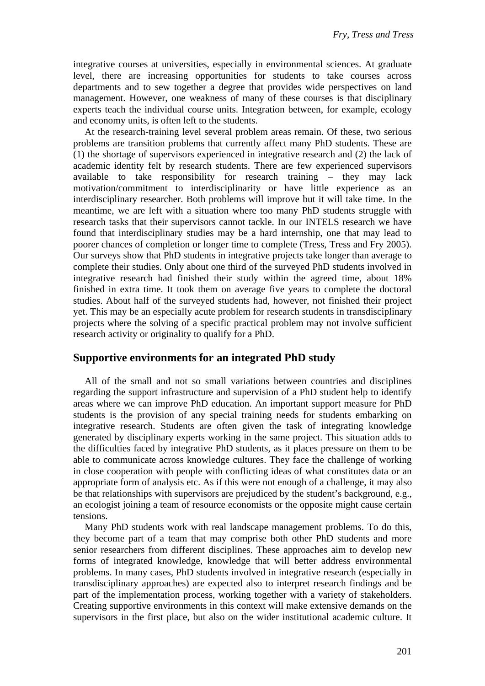integrative courses at universities, especially in environmental sciences. At graduate level, there are increasing opportunities for students to take courses across departments and to sew together a degree that provides wide perspectives on land management. However, one weakness of many of these courses is that disciplinary experts teach the individual course units. Integration between, for example, ecology and economy units, is often left to the students.

At the research-training level several problem areas remain. Of these, two serious problems are transition problems that currently affect many PhD students. These are (1) the shortage of supervisors experienced in integrative research and (2) the lack of academic identity felt by research students. There are few experienced supervisors available to take responsibility for research training – they may lack motivation/commitment to interdisciplinarity or have little experience as an interdisciplinary researcher. Both problems will improve but it will take time. In the meantime, we are left with a situation where too many PhD students struggle with research tasks that their supervisors cannot tackle. In our INTELS research we have found that interdisciplinary studies may be a hard internship, one that may lead to poorer chances of completion or longer time to complete (Tress, Tress and Fry 2005). Our surveys show that PhD students in integrative projects take longer than average to complete their studies. Only about one third of the surveyed PhD students involved in integrative research had finished their study within the agreed time, about 18% finished in extra time. It took them on average five years to complete the doctoral studies. About half of the surveyed students had, however, not finished their project yet. This may be an especially acute problem for research students in transdisciplinary projects where the solving of a specific practical problem may not involve sufficient research activity or originality to qualify for a PhD.

## **Supportive environments for an integrated PhD study**

All of the small and not so small variations between countries and disciplines regarding the support infrastructure and supervision of a PhD student help to identify areas where we can improve PhD education. An important support measure for PhD students is the provision of any special training needs for students embarking on integrative research. Students are often given the task of integrating knowledge generated by disciplinary experts working in the same project. This situation adds to the difficulties faced by integrative PhD students, as it places pressure on them to be able to communicate across knowledge cultures. They face the challenge of working in close cooperation with people with conflicting ideas of what constitutes data or an appropriate form of analysis etc. As if this were not enough of a challenge, it may also be that relationships with supervisors are prejudiced by the student's background, e.g., an ecologist joining a team of resource economists or the opposite might cause certain tensions.

Many PhD students work with real landscape management problems. To do this, they become part of a team that may comprise both other PhD students and more senior researchers from different disciplines. These approaches aim to develop new forms of integrated knowledge, knowledge that will better address environmental problems. In many cases, PhD students involved in integrative research (especially in transdisciplinary approaches) are expected also to interpret research findings and be part of the implementation process, working together with a variety of stakeholders. Creating supportive environments in this context will make extensive demands on the supervisors in the first place, but also on the wider institutional academic culture. It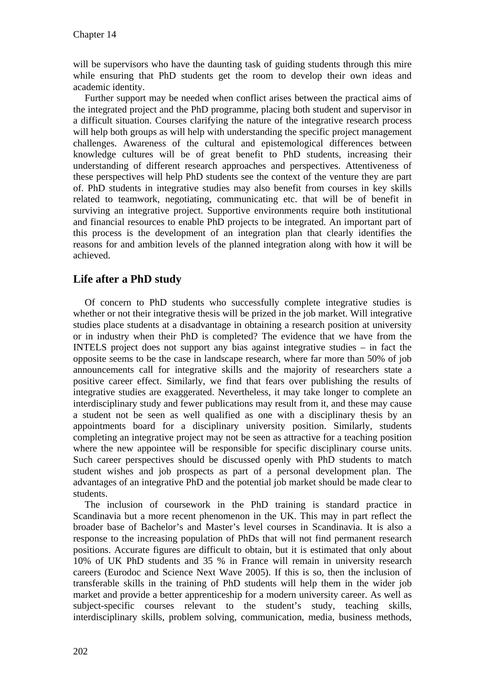will be supervisors who have the daunting task of guiding students through this mire while ensuring that PhD students get the room to develop their own ideas and academic identity.

Further support may be needed when conflict arises between the practical aims of the integrated project and the PhD programme, placing both student and supervisor in a difficult situation. Courses clarifying the nature of the integrative research process will help both groups as will help with understanding the specific project management challenges. Awareness of the cultural and epistemological differences between knowledge cultures will be of great benefit to PhD students, increasing their understanding of different research approaches and perspectives. Attentiveness of these perspectives will help PhD students see the context of the venture they are part of. PhD students in integrative studies may also benefit from courses in key skills related to teamwork, negotiating, communicating etc. that will be of benefit in surviving an integrative project. Supportive environments require both institutional and financial resources to enable PhD projects to be integrated. An important part of this process is the development of an integration plan that clearly identifies the reasons for and ambition levels of the planned integration along with how it will be achieved.

## **Life after a PhD study**

Of concern to PhD students who successfully complete integrative studies is whether or not their integrative thesis will be prized in the job market. Will integrative studies place students at a disadvantage in obtaining a research position at university or in industry when their PhD is completed? The evidence that we have from the INTELS project does not support any bias against integrative studies – in fact the opposite seems to be the case in landscape research, where far more than 50% of job announcements call for integrative skills and the majority of researchers state a positive career effect. Similarly, we find that fears over publishing the results of integrative studies are exaggerated. Nevertheless, it may take longer to complete an interdisciplinary study and fewer publications may result from it, and these may cause a student not be seen as well qualified as one with a disciplinary thesis by an appointments board for a disciplinary university position. Similarly, students completing an integrative project may not be seen as attractive for a teaching position where the new appointee will be responsible for specific disciplinary course units. Such career perspectives should be discussed openly with PhD students to match student wishes and job prospects as part of a personal development plan. The advantages of an integrative PhD and the potential job market should be made clear to students.

The inclusion of coursework in the PhD training is standard practice in Scandinavia but a more recent phenomenon in the UK. This may in part reflect the broader base of Bachelor's and Master's level courses in Scandinavia. It is also a response to the increasing population of PhDs that will not find permanent research positions. Accurate figures are difficult to obtain, but it is estimated that only about 10% of UK PhD students and 35 % in France will remain in university research careers (Eurodoc and Science Next Wave 2005). If this is so, then the inclusion of transferable skills in the training of PhD students will help them in the wider job market and provide a better apprenticeship for a modern university career. As well as subject-specific courses relevant to the student's study, teaching skills, interdisciplinary skills, problem solving, communication, media, business methods,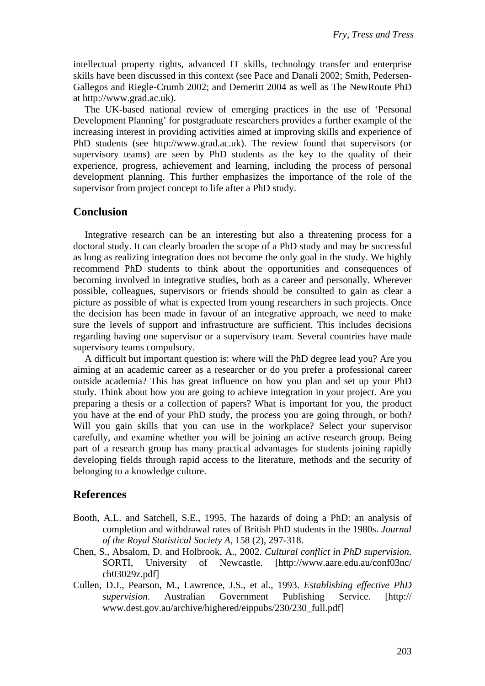intellectual property rights, advanced IT skills, technology transfer and enterprise skills have been discussed in this context (see Pace and Danali 2002; Smith, Pedersen-Gallegos and Riegle-Crumb 2002; and Demeritt 2004 as well as The NewRoute PhD at http://www.grad.ac.uk).

The UK-based national review of emerging practices in the use of 'Personal Development Planning' for postgraduate researchers provides a further example of the increasing interest in providing activities aimed at improving skills and experience of PhD students (see http://www.grad.ac.uk). The review found that supervisors (or supervisory teams) are seen by PhD students as the key to the quality of their experience, progress, achievement and learning, including the process of personal development planning. This further emphasizes the importance of the role of the supervisor from project concept to life after a PhD study.

## **Conclusion**

Integrative research can be an interesting but also a threatening process for a doctoral study. It can clearly broaden the scope of a PhD study and may be successful as long as realizing integration does not become the only goal in the study. We highly recommend PhD students to think about the opportunities and consequences of becoming involved in integrative studies, both as a career and personally. Wherever possible, colleagues, supervisors or friends should be consulted to gain as clear a picture as possible of what is expected from young researchers in such projects. Once the decision has been made in favour of an integrative approach, we need to make sure the levels of support and infrastructure are sufficient. This includes decisions regarding having one supervisor or a supervisory team. Several countries have made supervisory teams compulsory.

A difficult but important question is: where will the PhD degree lead you? Are you aiming at an academic career as a researcher or do you prefer a professional career outside academia? This has great influence on how you plan and set up your PhD study. Think about how you are going to achieve integration in your project. Are you preparing a thesis or a collection of papers? What is important for you, the product you have at the end of your PhD study, the process you are going through, or both? Will you gain skills that you can use in the workplace? Select your supervisor carefully, and examine whether you will be joining an active research group. Being part of a research group has many practical advantages for students joining rapidly developing fields through rapid access to the literature, methods and the security of belonging to a knowledge culture.

#### **References**

- Booth, A.L. and Satchell, S.E., 1995. The hazards of doing a PhD: an analysis of completion and withdrawal rates of British PhD students in the 1980s. *Journal of the Royal Statistical Society A,* 158 (2), 297-318.
- Chen, S., Absalom, D. and Holbrook, A., 2002. *Cultural conflict in PhD supervision*. SORTI, University of Newcastle. [http://www.aare.edu.au/conf03nc/ ch03029z.pdf]
- Cullen, D.J., Pearson, M., Lawrence, J.S., et al., 1993. *Establishing effective PhD supervision*. Australian Government Publishing Service. [http:// www.dest.gov.au/archive/highered/eippubs/230/230\_full.pdf]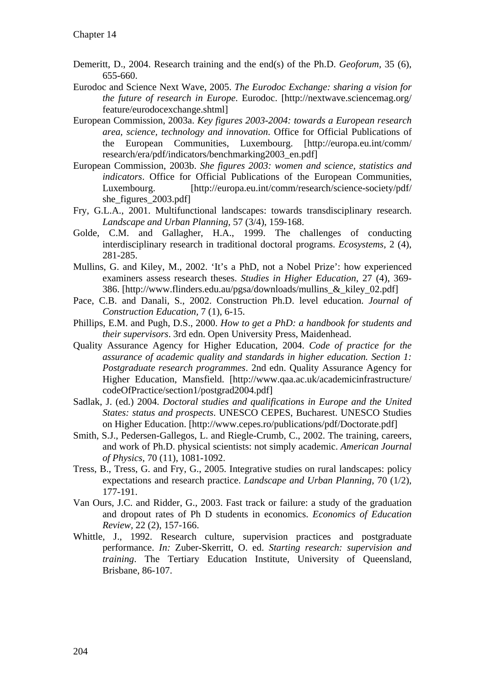- Demeritt, D., 2004. Research training and the end(s) of the Ph.D. *Geoforum,* 35 (6), 655-660.
- Eurodoc and Science Next Wave, 2005. *The Eurodoc Exchange: sharing a vision for the future of research in Europe*. Eurodoc. [http://nextwave.sciencemag.org/ feature/eurodocexchange.shtml]
- European Commission, 2003a. *Key figures 2003-2004: towards a European research area, science, technology and innovation*. Office for Official Publications of the European Communities, Luxembourg. [http://europa.eu.int/comm/ research/era/pdf/indicators/benchmarking2003\_en.pdf]
- European Commission, 2003b. *She figures 2003: women and science, statistics and indicators*. Office for Official Publications of the European Communities, Luxembourg. [http://europa.eu.int/comm/research/science-society/pdf/ she\_figures\_2003.pdf]
- Fry, G.L.A., 2001. Multifunctional landscapes: towards transdisciplinary research. *Landscape and Urban Planning,* 57 (3/4), 159-168.
- Golde, C.M. and Gallagher, H.A., 1999. The challenges of conducting interdisciplinary research in traditional doctoral programs. *Ecosystems,* 2 (4), 281-285.
- Mullins, G. and Kiley, M., 2002. 'It's a PhD, not a Nobel Prize': how experienced examiners assess research theses. *Studies in Higher Education,* 27 (4), 369- 386. [http://www.flinders.edu.au/pgsa/downloads/mullins\_&\_kiley\_02.pdf]
- Pace, C.B. and Danali, S., 2002. Construction Ph.D. level education. *Journal of Construction Education,* 7 (1), 6-15.
- Phillips, E.M. and Pugh, D.S., 2000. *How to get a PhD: a handbook for students and their supervisors*. 3rd edn. Open University Press, Maidenhead.
- Quality Assurance Agency for Higher Education, 2004. *Code of practice for the assurance of academic quality and standards in higher education. Section 1: Postgraduate research programmes*. 2nd edn. Quality Assurance Agency for Higher Education, Mansfield. [http://www.qaa.ac.uk/academicinfrastructure/ codeOfPractice/section1/postgrad2004.pdf]
- Sadlak, J. (ed.) 2004. *Doctoral studies and qualifications in Europe and the United States: status and prospects*. UNESCO CEPES, Bucharest. UNESCO Studies on Higher Education. [http://www.cepes.ro/publications/pdf/Doctorate.pdf]
- Smith, S.J., Pedersen-Gallegos, L. and Riegle-Crumb, C., 2002. The training, careers, and work of Ph.D. physical scientists: not simply academic. *American Journal of Physics,* 70 (11), 1081-1092.
- Tress, B., Tress, G. and Fry, G., 2005. Integrative studies on rural landscapes: policy expectations and research practice. *Landscape and Urban Planning,* 70 (1/2), 177-191.
- Van Ours, J.C. and Ridder, G., 2003. Fast track or failure: a study of the graduation and dropout rates of Ph D students in economics. *Economics of Education Review,* 22 (2), 157-166.
- Whittle, J., 1992. Research culture, supervision practices and postgraduate performance. *In:* Zuber-Skerritt, O. ed. *Starting research: supervision and training*. The Tertiary Education Institute, University of Queensland, Brisbane, 86-107.